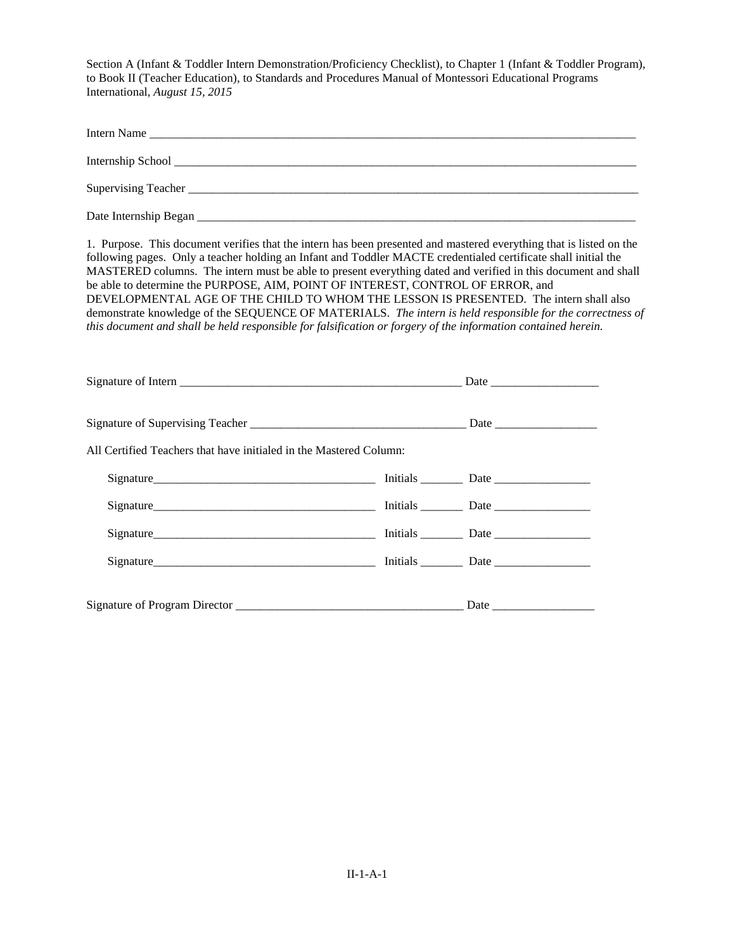| Intern Name                                                                                                                                                                                                                                                                                                                                                                                                                                                                                                                                                                                                                                                                                                                                                      |  |
|------------------------------------------------------------------------------------------------------------------------------------------------------------------------------------------------------------------------------------------------------------------------------------------------------------------------------------------------------------------------------------------------------------------------------------------------------------------------------------------------------------------------------------------------------------------------------------------------------------------------------------------------------------------------------------------------------------------------------------------------------------------|--|
|                                                                                                                                                                                                                                                                                                                                                                                                                                                                                                                                                                                                                                                                                                                                                                  |  |
|                                                                                                                                                                                                                                                                                                                                                                                                                                                                                                                                                                                                                                                                                                                                                                  |  |
|                                                                                                                                                                                                                                                                                                                                                                                                                                                                                                                                                                                                                                                                                                                                                                  |  |
| 1. Purpose. This document verifies that the intern has been presented and mastered everything that is listed on the<br>following pages. Only a teacher holding an Infant and Toddler MACTE credentialed certificate shall initial the<br>MASTERED columns. The intern must be able to present everything dated and verified in this document and shall<br>be able to determine the PURPOSE, AIM, POINT OF INTEREST, CONTROL OF ERROR, and<br>DEVELOPMENTAL AGE OF THE CHILD TO WHOM THE LESSON IS PRESENTED. The intern shall also<br>demonstrate knowledge of the SEQUENCE OF MATERIALS. The intern is held responsible for the correctness of<br>this document and shall be held responsible for falsification or forgery of the information contained herein. |  |
|                                                                                                                                                                                                                                                                                                                                                                                                                                                                                                                                                                                                                                                                                                                                                                  |  |
|                                                                                                                                                                                                                                                                                                                                                                                                                                                                                                                                                                                                                                                                                                                                                                  |  |
| All Certified Teachers that have initialed in the Mastered Column:                                                                                                                                                                                                                                                                                                                                                                                                                                                                                                                                                                                                                                                                                               |  |
| Signature Date Date Discovery Contains a Limitial System Date Date Discovery Containing the Discovery of the Discovery Discovery Discovery Discovery Discovery Discovery Discovery Discovery Discovery Discovery Discovery Dis                                                                                                                                                                                                                                                                                                                                                                                                                                                                                                                                   |  |
|                                                                                                                                                                                                                                                                                                                                                                                                                                                                                                                                                                                                                                                                                                                                                                  |  |
|                                                                                                                                                                                                                                                                                                                                                                                                                                                                                                                                                                                                                                                                                                                                                                  |  |
|                                                                                                                                                                                                                                                                                                                                                                                                                                                                                                                                                                                                                                                                                                                                                                  |  |
|                                                                                                                                                                                                                                                                                                                                                                                                                                                                                                                                                                                                                                                                                                                                                                  |  |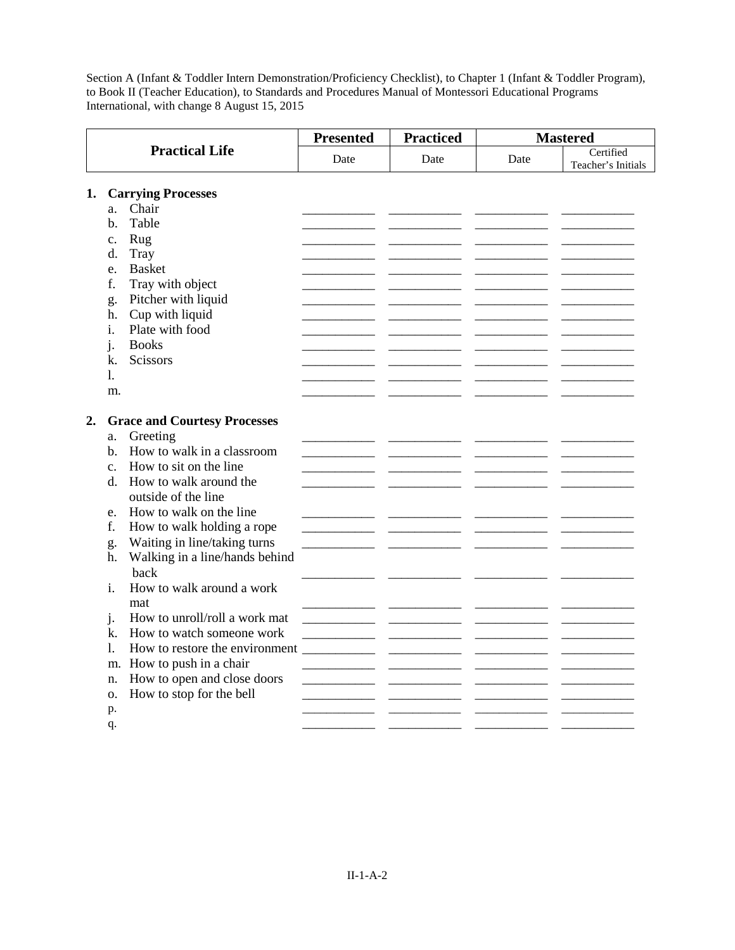|    |                                                                                                                                                                                                                                                                                                                                                                                                                                                                                                                                                                                                                                  | <b>Presented</b> | <b>Practiced</b> |      | <b>Mastered</b>                 |  |
|----|----------------------------------------------------------------------------------------------------------------------------------------------------------------------------------------------------------------------------------------------------------------------------------------------------------------------------------------------------------------------------------------------------------------------------------------------------------------------------------------------------------------------------------------------------------------------------------------------------------------------------------|------------------|------------------|------|---------------------------------|--|
|    | <b>Practical Life</b>                                                                                                                                                                                                                                                                                                                                                                                                                                                                                                                                                                                                            | Date             | Date             | Date | Certified<br>Teacher's Initials |  |
| 1. | <b>Carrying Processes</b><br>Chair<br>a.<br>Table<br>b.<br>Rug<br>c.<br>Tray<br>d.<br><b>Basket</b><br>e.<br>Tray with object<br>f.<br>Pitcher with liquid<br>g.<br>Cup with liquid<br>h.                                                                                                                                                                                                                                                                                                                                                                                                                                        |                  |                  |      |                                 |  |
|    | Plate with food<br>i.<br><b>Books</b><br>i.<br>Scissors<br>k.<br>1.<br>m.                                                                                                                                                                                                                                                                                                                                                                                                                                                                                                                                                        |                  |                  |      |                                 |  |
| 2. | <b>Grace and Courtesy Processes</b><br>Greeting<br>a.<br>How to walk in a classroom<br>b.<br>How to sit on the line<br>$\mathbf{c}$ .<br>How to walk around the<br>d.<br>outside of the line<br>How to walk on the line<br>e.<br>f.<br>How to walk holding a rope<br>Waiting in line/taking turns<br>g.<br>Walking in a line/hands behind<br>h.<br>back<br>How to walk around a work<br>i.<br>mat<br>How to unroll/roll a work mat<br>j.<br>How to watch someone work<br>k.<br>How to restore the environment<br>1.<br>How to push in a chair<br>m.<br>How to open and close doors<br>n.<br>How to stop for the bell<br>0.<br>p. |                  |                  |      |                                 |  |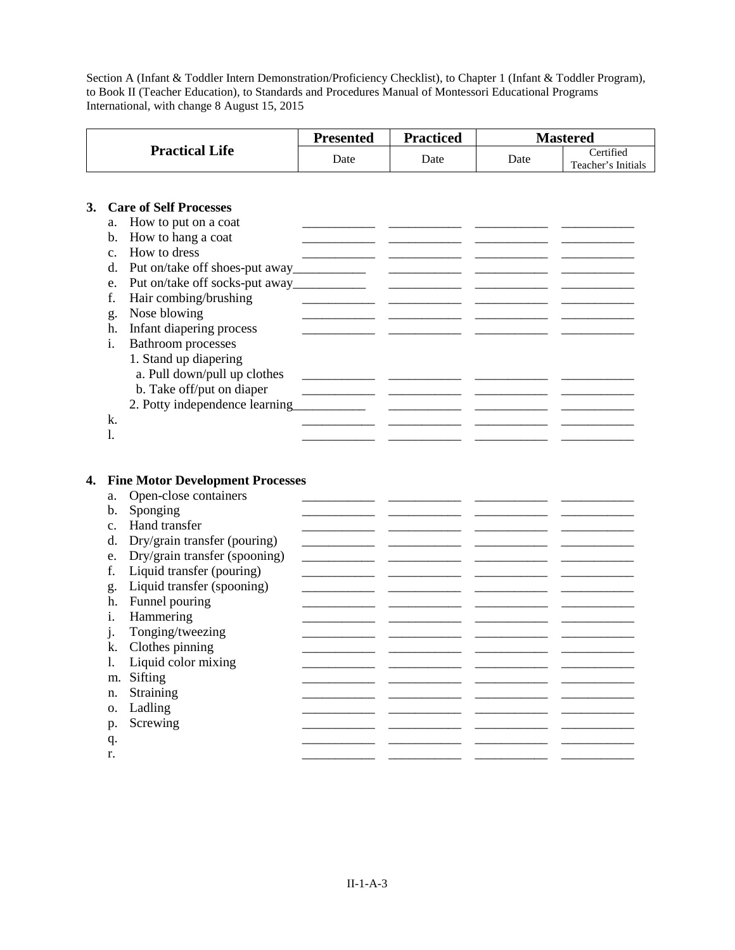|    |                      |                                                                              | <b>Presented</b> | <b>Practiced</b> |      | <b>Mastered</b>                 |
|----|----------------------|------------------------------------------------------------------------------|------------------|------------------|------|---------------------------------|
|    |                      | <b>Practical Life</b>                                                        | Date             | Date             | Date | Certified<br>Teacher's Initials |
| 3. |                      | <b>Care of Self Processes</b>                                                |                  |                  |      |                                 |
|    | a.                   | How to put on a coat                                                         |                  |                  |      |                                 |
|    |                      | How to hang a coat                                                           |                  |                  |      |                                 |
|    | $\mathbf b$ .        | How to dress                                                                 |                  |                  |      |                                 |
|    | $\mathbf{c}$ .<br>d. |                                                                              |                  |                  |      |                                 |
|    |                      |                                                                              |                  |                  |      |                                 |
|    | e.<br>f.             |                                                                              |                  |                  |      |                                 |
|    |                      | Hair combing/brushing<br>Nose blowing                                        |                  |                  |      |                                 |
|    | g.<br>h.             |                                                                              |                  |                  |      |                                 |
|    | i.                   | Infant diapering process<br><b>Bathroom</b> processes                        |                  |                  |      |                                 |
|    |                      | 1. Stand up diapering                                                        |                  |                  |      |                                 |
|    |                      | a. Pull down/pull up clothes                                                 |                  |                  |      |                                 |
|    |                      | b. Take off/put on diaper                                                    |                  |                  |      |                                 |
|    |                      | 2. Potty independence learning                                               |                  |                  |      |                                 |
|    | k.                   |                                                                              |                  |                  |      |                                 |
|    | 1.                   |                                                                              |                  |                  |      |                                 |
|    |                      |                                                                              |                  |                  |      |                                 |
| 4. | a.<br>b.             | <b>Fine Motor Development Processes</b><br>Open-close containers<br>Sponging |                  |                  |      |                                 |
|    | C <sub>1</sub>       | Hand transfer                                                                |                  |                  |      |                                 |
|    | d.                   | Dry/grain transfer (pouring)                                                 |                  |                  |      |                                 |
|    | e.                   | Dry/grain transfer (spooning)                                                |                  |                  |      |                                 |
|    | f.                   | Liquid transfer (pouring)                                                    |                  |                  |      |                                 |
|    | g.                   | Liquid transfer (spooning)                                                   |                  |                  |      |                                 |
|    | h.                   | Funnel pouring                                                               |                  |                  |      |                                 |
|    | i.                   | Hammering                                                                    |                  |                  |      |                                 |
|    | j.                   | Tonging/tweezing                                                             |                  |                  |      |                                 |
|    | k.                   | Clothes pinning                                                              |                  |                  |      |                                 |
|    | 1.                   | Liquid color mixing                                                          |                  |                  |      |                                 |
|    | m.                   | Sifting                                                                      |                  |                  |      |                                 |
|    | n.                   | Straining                                                                    |                  |                  |      |                                 |
|    | Ο.                   | Ladling                                                                      |                  |                  |      |                                 |
|    | p.                   | Screwing                                                                     |                  |                  |      |                                 |
|    | q.                   |                                                                              |                  |                  |      |                                 |
|    | r.                   |                                                                              |                  |                  |      |                                 |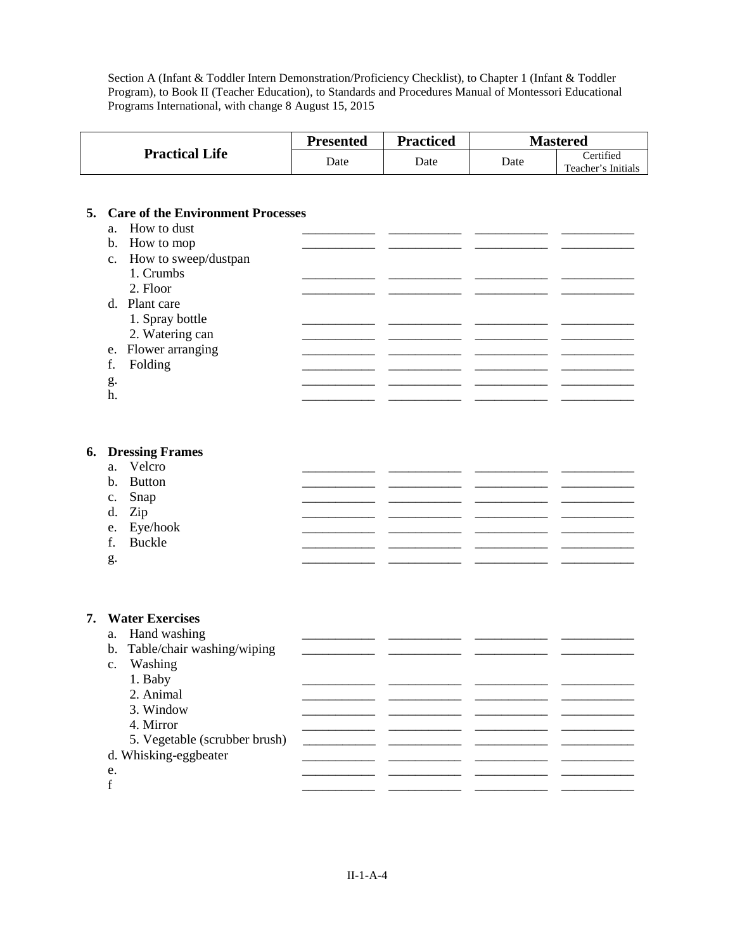|                       | Presented | Practiced |      | <b>Mastered</b>                 |
|-----------------------|-----------|-----------|------|---------------------------------|
| <b>Practical Life</b> | Date      | Date      | Date | Certified<br>Teacher's Initials |

## **5. Care of the Environment Processes**

|    | a. How to dust          |  |  |
|----|-------------------------|--|--|
|    | b. How to mop           |  |  |
|    | c. How to sweep/dustpan |  |  |
|    | 1. Crumbs               |  |  |
|    | 2. Floor                |  |  |
|    | d. Plant care           |  |  |
|    | 1. Spray bottle         |  |  |
|    | 2. Watering can         |  |  |
|    | e. Flower arranging     |  |  |
| f. | Folding                 |  |  |
| g. |                         |  |  |
| h. |                         |  |  |

# **6. Dressing Frames**

|    | a. Velcro   |  |  |
|----|-------------|--|--|
|    | b. Button   |  |  |
|    | c. Snap     |  |  |
|    | d. Zip      |  |  |
|    | e. Eye/hook |  |  |
|    | f. Buckle   |  |  |
| g. |             |  |  |
|    |             |  |  |

#### **7. Water Exercises**

|    | a. Hand washing               |  |  |
|----|-------------------------------|--|--|
|    | b. Table/chair washing/wiping |  |  |
|    | c. Washing                    |  |  |
|    | 1. Baby                       |  |  |
|    | 2. Animal                     |  |  |
|    | 3. Window                     |  |  |
|    | 4. Mirror                     |  |  |
|    | 5. Vegetable (scrubber brush) |  |  |
|    | d. Whisking-eggbeater         |  |  |
| e. |                               |  |  |
| f  |                               |  |  |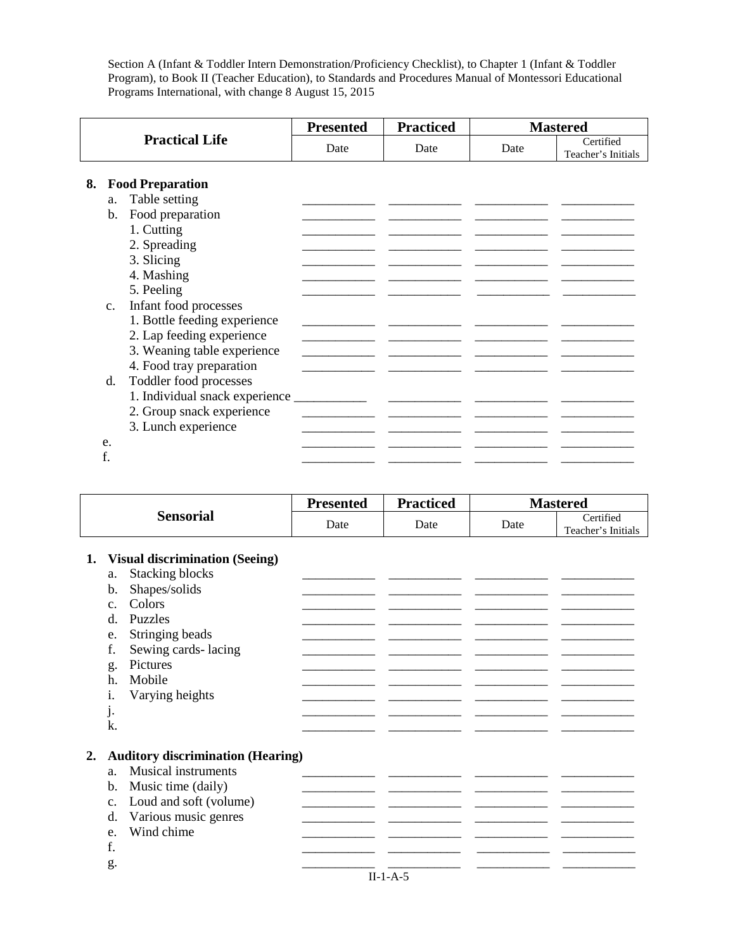|          |                                                                                                                                                                               | <b>Presented</b> | <b>Practiced</b>                                                                                                                                                                                                                     |      | <b>Mastered</b>                 |
|----------|-------------------------------------------------------------------------------------------------------------------------------------------------------------------------------|------------------|--------------------------------------------------------------------------------------------------------------------------------------------------------------------------------------------------------------------------------------|------|---------------------------------|
|          | <b>Practical Life</b>                                                                                                                                                         | Date             | Date                                                                                                                                                                                                                                 | Date | Certified<br>Teacher's Initials |
| 8.       | <b>Food Preparation</b>                                                                                                                                                       |                  |                                                                                                                                                                                                                                      |      |                                 |
|          | Table setting<br>a.<br>Food preparation<br>b.<br>1. Cutting<br>2. Spreading<br>3. Slicing<br>4. Mashing                                                                       |                  |                                                                                                                                                                                                                                      |      |                                 |
|          | 5. Peeling<br>Infant food processes<br>C <sub>1</sub><br>1. Bottle feeding experience<br>2. Lap feeding experience<br>3. Weaning table experience<br>4. Food tray preparation |                  |                                                                                                                                                                                                                                      |      |                                 |
|          | Toddler food processes<br>d.<br>1. Individual snack experience _____________<br>2. Group snack experience<br>3. Lunch experience                                              |                  | <u> 1990 - John Harry Harry Harry Harry Harry Harry Harry Harry Harry Harry Harry Harry Harry Harry Harry Harry Harry Harry Harry Harry Harry Harry Harry Harry Harry Harry Harry Harry Harry Harry Harry Harry Harry Harry Harr</u> |      |                                 |
| e.<br>f. |                                                                                                                                                                               |                  |                                                                                                                                                                                                                                      |      |                                 |

|           | <b>Presented</b> | <b>Practiced</b> | <b>Mastered</b> |                                 |
|-----------|------------------|------------------|-----------------|---------------------------------|
| Sensorial | Date             | Date             | Date            | Certified<br>Teacher's Initials |

# **1. Visual discrimination (Seeing)**

|    |                | c,                                       |  |  |
|----|----------------|------------------------------------------|--|--|
|    | a.             | <b>Stacking blocks</b>                   |  |  |
|    | b.             | Shapes/solids                            |  |  |
|    | $C_{\cdot}$    | Colors                                   |  |  |
|    | d.             | Puzzles                                  |  |  |
|    | e.             | Stringing beads                          |  |  |
|    | f.             | Sewing cards-lacing                      |  |  |
|    | g.             | Pictures                                 |  |  |
|    | h.             | Mobile                                   |  |  |
|    | 1.             | Varying heights                          |  |  |
|    | j.             |                                          |  |  |
|    | k.             |                                          |  |  |
|    |                |                                          |  |  |
| 2. |                | <b>Auditory discrimination (Hearing)</b> |  |  |
|    | a <sub>z</sub> | <b>Musical instruments</b>               |  |  |
|    | b.             | Music time (daily)                       |  |  |
|    | $C_{\bullet}$  | Loud and soft (volume)                   |  |  |
|    | d.             | Various music genres                     |  |  |
|    | e.             | Wind chime                               |  |  |
|    | f.             |                                          |  |  |
|    |                |                                          |  |  |
|    | g.             |                                          |  |  |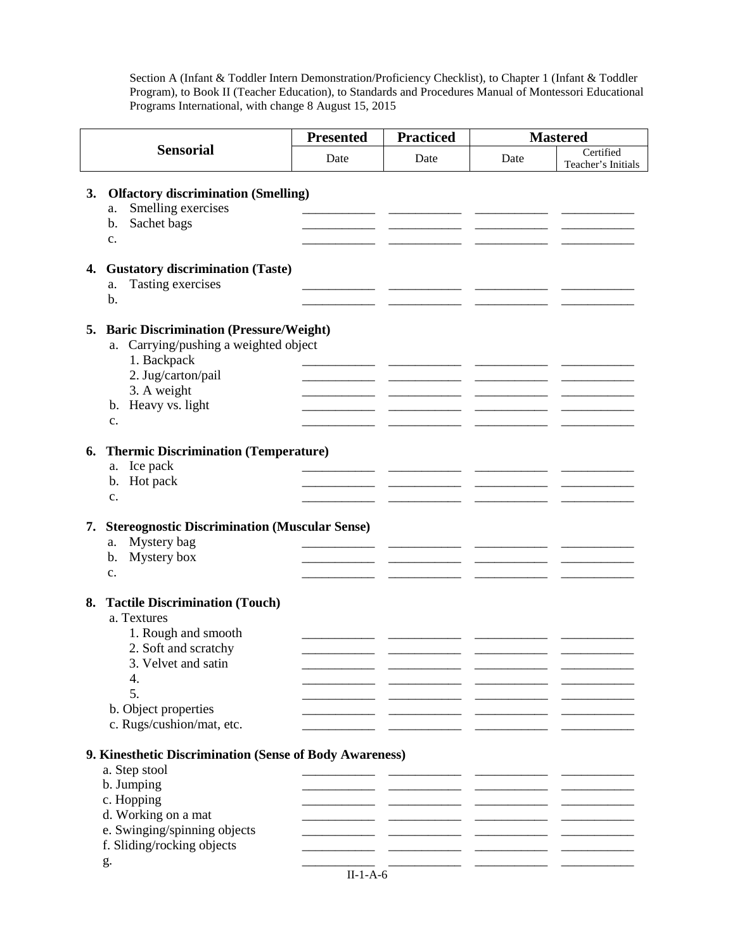|    |                                                                                                                                                                                                 | <b>Practiced</b><br><b>Presented</b> |      | <b>Mastered</b> |                                 |
|----|-------------------------------------------------------------------------------------------------------------------------------------------------------------------------------------------------|--------------------------------------|------|-----------------|---------------------------------|
|    | <b>Sensorial</b>                                                                                                                                                                                | Date                                 | Date | Date            | Certified<br>Teacher's Initials |
| 3. | <b>Olfactory discrimination (Smelling)</b><br>Smelling exercises<br>a.<br>Sachet bags<br>b.                                                                                                     |                                      |      |                 |                                 |
| 4. | $\mathbf{c}$ .<br><b>Gustatory discrimination (Taste)</b><br>Tasting exercises<br>a.<br>b.                                                                                                      |                                      |      |                 |                                 |
| 5. | <b>Baric Discrimination (Pressure/Weight)</b><br>Carrying/pushing a weighted object<br>a.<br>1. Backpack<br>2. Jug/carton/pail<br>3. A weight<br>b. Heavy vs. light<br>c.                       |                                      |      |                 |                                 |
| 6. | <b>Thermic Discrimination (Temperature)</b><br>Ice pack<br>a.<br>Hot pack<br>b.<br>c.                                                                                                           |                                      |      |                 |                                 |
| 7. | <b>Stereognostic Discrimination (Muscular Sense)</b><br>Mystery bag<br>a.<br>Mystery box<br>$\mathbf{b}$ .<br>c.                                                                                |                                      |      |                 |                                 |
| 8. | <b>Tactile Discrimination (Touch)</b><br>a. Textures<br>1. Rough and smooth<br>2. Soft and scratchy<br>3. Velvet and satin<br>4.<br>5.<br>b. Object properties<br>c. Rugs/cushion/mat, etc.     |                                      |      |                 |                                 |
|    | 9. Kinesthetic Discrimination (Sense of Body Awareness)<br>a. Step stool<br>b. Jumping<br>c. Hopping<br>d. Working on a mat<br>e. Swinging/spinning objects<br>f. Sliding/rocking objects<br>g. |                                      |      |                 |                                 |

|  | ۱ |
|--|---|
|  |   |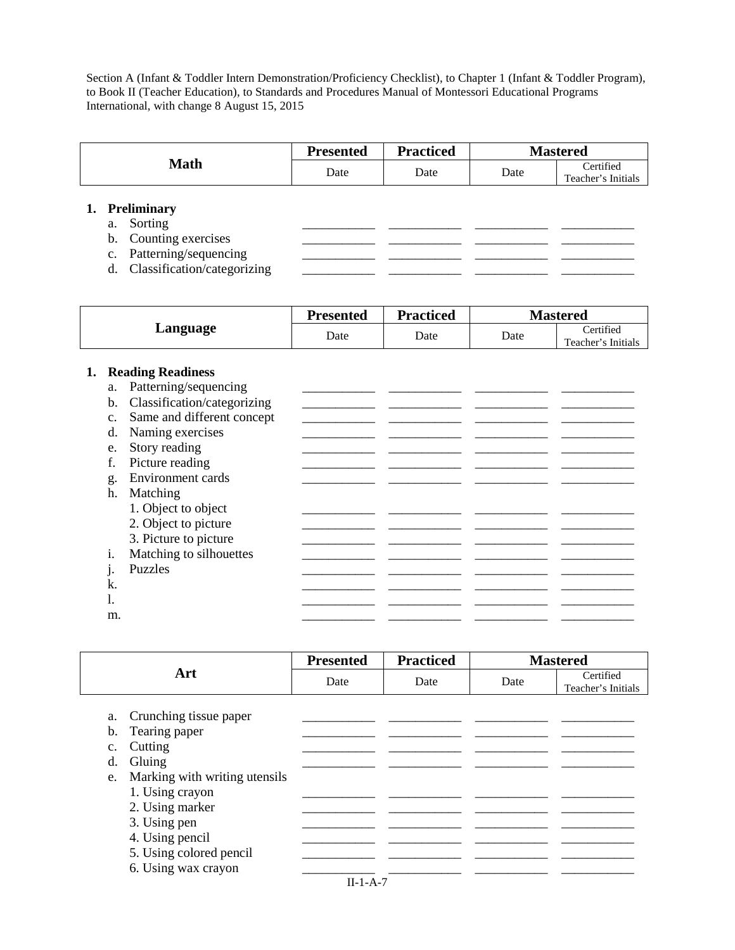|                                                                                                                     | <b>Presented</b> | <b>Practiced</b> |      | <b>Mastered</b>                 |
|---------------------------------------------------------------------------------------------------------------------|------------------|------------------|------|---------------------------------|
| <b>Math</b>                                                                                                         | Date             | Date             | Date | Certified<br>Teacher's Initials |
| 1. Preliminary<br>a. Sorting<br>b. Counting exercises<br>c. Patterning/sequencing<br>d. Classification/categorizing |                  |                  |      |                                 |

|          | <b>Presented</b> | <b>Practiced</b> | <b>Mastered</b> |                                 |
|----------|------------------|------------------|-----------------|---------------------------------|
| Language | Date             | Date             | Date            | Certified<br>Teacher's Initials |

## **1. Reading Readiness**

| a.             | Patterning/sequencing       |  |  |
|----------------|-----------------------------|--|--|
| $\mathbf{b}$ . | Classification/categorizing |  |  |
| $C_{\bullet}$  | Same and different concept  |  |  |
| d.             | Naming exercises            |  |  |
| e.             | Story reading               |  |  |
|                | Picture reading             |  |  |
| g.             | <b>Environment</b> cards    |  |  |
| h.             | Matching                    |  |  |
|                | 1. Object to object         |  |  |
|                | 2. Object to picture        |  |  |
|                | 3. Picture to picture       |  |  |
| i.             | Matching to silhouettes     |  |  |
| $\mathbf{1}$   | Puzzles                     |  |  |
| k.             |                             |  |  |
|                |                             |  |  |
| m.             |                             |  |  |

|                                                                                                                                                                                                                                                             | <b>Presented</b> | <b>Practiced</b> |      | <b>Mastered</b>                 |
|-------------------------------------------------------------------------------------------------------------------------------------------------------------------------------------------------------------------------------------------------------------|------------------|------------------|------|---------------------------------|
| Art                                                                                                                                                                                                                                                         | Date             | Date             | Date | Certified<br>Teacher's Initials |
| a. Crunching tissue paper<br>Tearing paper<br>b.<br>Cutting<br>$C_{\bullet}$<br>Gluing<br>d.<br>e. Marking with writing utensils<br>1. Using crayon<br>2. Using marker<br>3. Using pen<br>4. Using pencil<br>5. Using colored pencil<br>6. Using wax crayon |                  |                  |      |                                 |
|                                                                                                                                                                                                                                                             | $II-1-A-7$       |                  |      |                                 |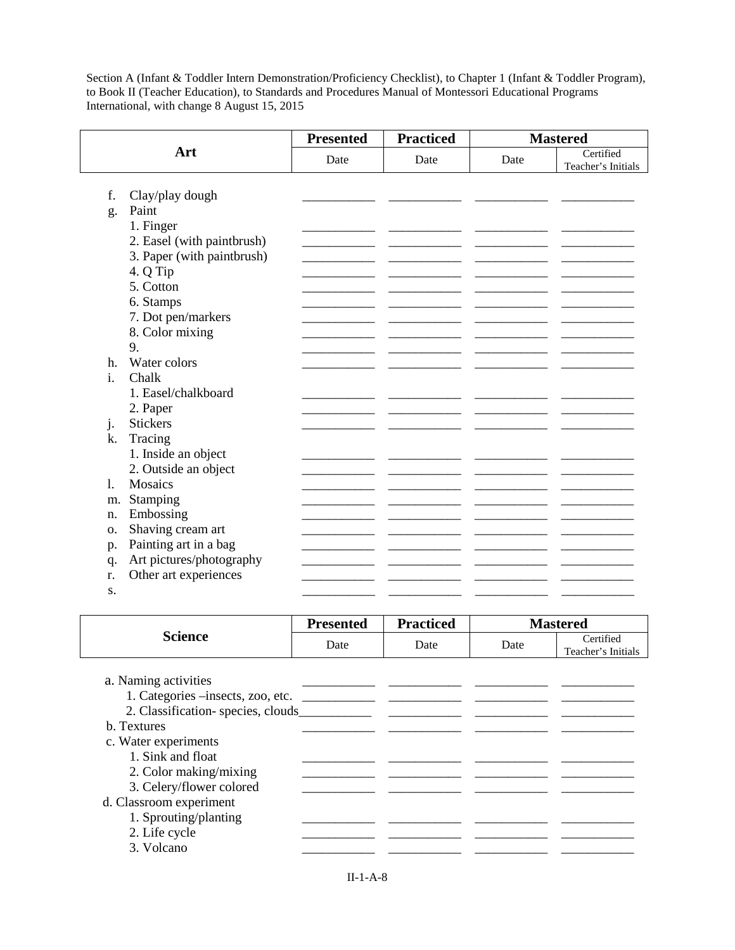|    |                            | <b>Presented</b> | <b>Practiced</b> |      | <b>Mastered</b>                 |
|----|----------------------------|------------------|------------------|------|---------------------------------|
|    | Art                        | Date             | Date             | Date | Certified<br>Teacher's Initials |
|    |                            |                  |                  |      |                                 |
| f. | Clay/play dough            |                  |                  |      |                                 |
| g. | Paint                      |                  |                  |      |                                 |
|    | 1. Finger                  |                  |                  |      |                                 |
|    | 2. Easel (with paintbrush) |                  |                  |      |                                 |
|    | 3. Paper (with paintbrush) |                  |                  |      |                                 |
|    | 4. Q Tip<br>5. Cotton      |                  |                  |      |                                 |
|    | 6. Stamps                  |                  |                  |      |                                 |
|    | 7. Dot pen/markers         |                  |                  |      |                                 |
|    | 8. Color mixing            |                  |                  |      |                                 |
|    | 9.                         |                  |                  |      |                                 |
| h. | Water colors               |                  |                  |      |                                 |
| i. | Chalk                      |                  |                  |      |                                 |
|    | 1. Easel/chalkboard        |                  |                  |      |                                 |
|    | 2. Paper                   |                  |                  |      |                                 |
| j. | <b>Stickers</b>            |                  |                  |      |                                 |
| k. | Tracing                    |                  |                  |      |                                 |
|    | 1. Inside an object        |                  |                  |      |                                 |
|    | 2. Outside an object       |                  |                  |      |                                 |
| 1. | <b>Mosaics</b>             |                  |                  |      |                                 |
| m. | Stamping                   |                  |                  |      |                                 |
| n. | Embossing                  |                  |                  |      |                                 |
| Ο. | Shaving cream art          |                  |                  |      |                                 |
| p. | Painting art in a bag      |                  |                  |      |                                 |
| q. | Art pictures/photography   |                  |                  |      |                                 |
| r. | Other art experiences      |                  |                  |      |                                 |
| S. |                            |                  |                  |      |                                 |

|                          | <b>Presented</b> | <b>Practiced</b> |      | <b>Mastered</b>                 |
|--------------------------|------------------|------------------|------|---------------------------------|
| <b>Science</b>           | Date             | Date             | Date | Certified<br>Teacher's Initials |
|                          |                  |                  |      |                                 |
| a. Naming activities     |                  |                  |      |                                 |
|                          |                  |                  |      |                                 |
|                          |                  |                  |      |                                 |
| b. Textures              |                  |                  |      |                                 |
| c. Water experiments     |                  |                  |      |                                 |
| 1. Sink and float        |                  |                  |      |                                 |
| 2. Color making/mixing   |                  |                  |      |                                 |
| 3. Celery/flower colored |                  |                  |      |                                 |
| d. Classroom experiment  |                  |                  |      |                                 |
| 1. Sprouting/planting    |                  |                  |      |                                 |
| 2. Life cycle            |                  |                  |      |                                 |
| 3. Volcano               |                  |                  |      |                                 |
|                          |                  |                  |      |                                 |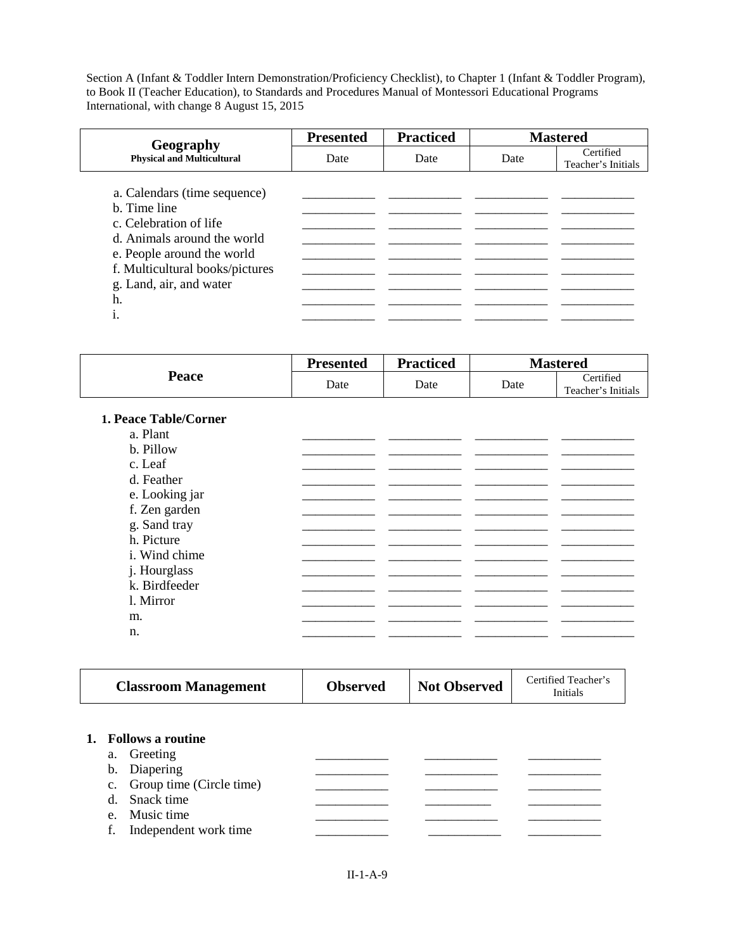| Geography                                                                                                                                                                                                    | <b>Presented</b> | <b>Practiced</b> |      | <b>Mastered</b>                 |
|--------------------------------------------------------------------------------------------------------------------------------------------------------------------------------------------------------------|------------------|------------------|------|---------------------------------|
| <b>Physical and Multicultural</b>                                                                                                                                                                            | Date             | Date             | Date | Certified<br>Teacher's Initials |
| a. Calendars (time sequence)<br>b. Time line<br>c. Celebration of life<br>d. Animals around the world<br>e. People around the world<br>f. Multicultural books/pictures<br>g. Land, air, and water<br>h.<br>1 |                  |                  |      |                                 |

| Peace                 | <b>Presented</b> | <b>Practiced</b> |      | <b>Mastered</b>                 |
|-----------------------|------------------|------------------|------|---------------------------------|
|                       | Date             | Date             | Date | Certified<br>Teacher's Initials |
| 1. Peace Table/Corner |                  |                  |      |                                 |
| a. Plant              |                  |                  |      |                                 |
| b. Pillow             |                  |                  |      |                                 |
| c. Leaf               |                  |                  |      |                                 |
| d. Feather            |                  |                  |      |                                 |
| e. Looking jar        |                  |                  |      |                                 |
| f. Zen garden         |                  |                  |      |                                 |
| g. Sand tray          |                  |                  |      |                                 |
| h. Picture            |                  |                  |      |                                 |
| i. Wind chime         |                  |                  |      |                                 |
| j. Hourglass          |                  |                  |      |                                 |
| k. Birdfeeder         |                  |                  |      |                                 |
| l. Mirror             |                  |                  |      |                                 |
| m.                    |                  |                  |      |                                 |
| n.                    |                  |                  |      |                                 |
|                       |                  |                  |      |                                 |

|                     | <b>Classroom Management</b>                                                                                                             | <b>Observed</b> | <b>Not Observed</b> | Certified Teacher's<br>Initials |
|---------------------|-----------------------------------------------------------------------------------------------------------------------------------------|-----------------|---------------------|---------------------------------|
| b.<br>$d_{-}$<br>f. | 1. Follows a routine<br>a. Greeting<br>Diapering<br>c. Group time (Circle time)<br>Snack time<br>e. Music time<br>Independent work time |                 |                     |                                 |